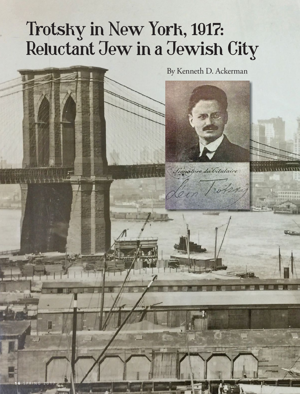## Trotsky in New York, 1917: Reluctant Jew in a Jewish City

**1 6** SPRING 2017

By Kenneth D. Ackerman

Signature du Citulaire:

Leon Twelang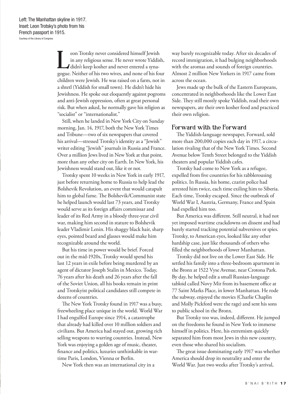eon Trotsky never considered himself Jewish<br>in any religious sense. He never wrote Yiddish,<br>didn't keep kosher and never entered a syna-<br>gogue. Neither of his two wives, and none of his four eon Trotsky never considered himself Jewish in any religious sense. He never wrote Yiddish, didn't keep kosher and never entered a synachildren were Jewish. He was raised on a farm, not in a shtetl (Yiddish for small town). He didn't hide his Jewishness. He spoke out eloquently against pogroms and anti-Jewish oppression, often at great personal risk. But when asked, he normally gave his religion as "socialist" or "internationalist."

Still, when he landed in New York City on Sunday morning, Jan. 14, 1917, both the New York Times and Tribune—two of six newspapers that covered his arrival—stressed Trotsky's identity as a "Jewish" writer editing "Jewish" journals in Russia and France. Over a million Jews lived in New York at that point, more than any other city on Earth. In New York, his Jewishness would stand out, like it or not.

Trotsky spent 10 weeks in New York in early 1917, just before returning home to Russia to help lead the Bolshevik Revolution, an event that would catapult him to global fame. The Bolshevik/Communist state he helped launch would last 73 years, and Trotsky would serve as its foreign affairs commissar and leader of its Red Army in a bloody three-year civil war, making him second in stature to Bolshevik leader Vladimir Lenin. His shaggy black hair, sharp eyes, pointed beard and glasses would make him recognizable around the world.

But his time in power would be brief. Forced out in the mid-1920s, Trotsky would spend his last 12 years in exile before being murdered by an agent of dictator Joseph Stalin in Mexico. Today, 76 years after his death and 26 years after the fall of the Soviet Union, all his books remain in print and Trotskyist political candidates still compete in dozens of countries.

The New York Trotsky found in 1917 was a busy, freewheeling place unique in the world. World War I had engulfed Europe since 1914, a catastrophe that already had killed over 10 million soldiers and civilians. But America had stayed out, growing rich selling weapons to warring countries. Instead, New York was enjoying a golden age of music, theater, finance and politics, luxuries unthinkable in wartime Paris, London, Vienna or Berlin.

New York then was an international city in a

way barely recognizable today. After six decades of record immigration, it had bulging neighborhoods with the aromas and sounds of foreign countries. Almost 2 million New Yorkers in 1917 came from across the ocean.

Jews made up the bulk of the Eastern Europeans, concentrated in neighborhoods like the Lower East Side. They still mostly spoke Yiddish, read their own newspapers, ate their own kosher food and practiced their own religion.

## Forward with the Forward

The Yiddish-language newspaper, Forward, sold more than 200,000 copies each day in 1917, a circulation rivaling that of the New York Times. Second Avenue below Tenth Street belonged to the Yiddish theaters and popular Yiddish cafes.

Trotsky had come to New York as a refugee, expelled from five countries for his rabblerousing politics. In Russia, his home, czarist police had arrested him twice, each time exiling him to Siberia. Each time, Trotsky escaped. Since the outbreak of World War I, Austria, Germany, France and Spain had expelled him too.

But America was different. Still neutral, it had not yet imposed wartime crackdowns on dissent and had barely started tracking potential subversives or spies. Trotsky, to American eyes, looked like any other hardship case, just like thousands of others who filled the neighborhoods of lower Manhattan.

Trotsky did not live on the Lower East Side. He settled his family into a three-bedroom apartment in the Bronx at 1522 Vyse Avenue, near Crotona Park. By day, he helped edit a small Russian-language tabloid called Novy Mir from its basement office at 77 Saint Marks Place, in lower Manhattan. He rode the subway, enjoyed the movies (Charlie Chaplin and Molly Pickford were the rage) and sent his sons to public school in the Bronx.

But Trotsky too was, indeed, different. He jumped on the freedoms he found in New York to immerse himself in politics. Here, his extremism quickly separated him from most Jews in this new country, even those who shared his socialism.

The great issue dominating early 1917 was whether America should drop its neutrality and enter the World War. Just two weeks after Trotsky's arrival,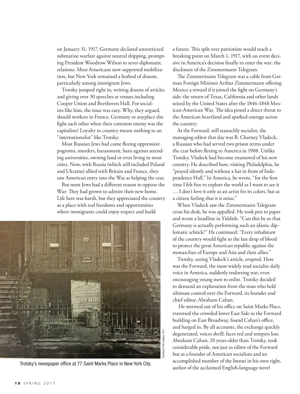on January 31, 1917, Germany declared unrestricted submarine warfare against neutral shipping, prompting President Woodrow Wilson to sever diplomatic relations. Most Americans now supported mobilization, but New York remained a hotbed of dissent, particularly among immigrant Jews.

Trotsky jumped right in, writing dozens of articles and giving over 30 speeches at venues including Cooper Union and Beethoven Hall. For socialists like him, the issue was easy. Why, they argued, should workers in France, Germany or anyplace else fight each other when their common enemy was the capitalists? Loyalty to country meant nothing to an "internationalist" like Trotsky.

Most Russian Jews had come fleeing oppression: pogroms, murders, harassment, bans against attending universities, owning land or even living in most cities. Now, with Russia (which still included Poland and Ukraine) allied with Britain and France, they saw American entry into the War as helping the czar.

But most Jews had a different reason to oppose the War: They had grown to admire their new home. Life here was harsh, but they appreciated the country as a place with real freedoms and opportunities where immigrants could enjoy respect and build



a future. This split over patriotism would reach a breaking point on March 1, 1917, with an event decisive in America's decision finally to enter the war: the disclosure of the Zimmermann Telegram.

The Zimmermann Telegram was a cable from German Foreign Minister Arthur Zimmermann offering Mexico a reward if it joined the fight on Germany's side: the return of Texas, California and other lands seized by the United States after the 1846-1848 Mexican-American War. The idea posed a direct threat to the American heartland and sparked outrage across the country.

At the Forward, still staunchly socialist, the managing editor that day was B. Charney Vladeck, a Russian who had served two prison terms under the czar before fleeing to America in 1908. Unlike Trotsky, Vladeck had become enamored of his new country. He described how, visiting Philadelphia, he "prayed silently and without a hat in front of Independence Hall." In America, he wrote, "for the first time I felt free to explore the world as I want to see it … I don't love it only as an artist for its colors, but as a citizen feeling that it is mine."

When Vladeck saw the Zimmermann Telegram cross his desk, he was appalled. He took pen to paper and wrote a headline in Yiddish: "Can this be so that Germany is actually performing such an idiotic diplomatic schtick?" He continued: "Every inhabitant of the country would fight to the last drop of blood to protect the great American republic against the monarchies of Europe and Asia and their allies."

Trotsky, seeing Vladeck's article, erupted. Here was the Forward, the most widely read socialist daily voice in America, suddenly endorsing war, even encouraging young men to enlist. Trotsky decided to demand an explanation from the man who held ultimate control over the Forward, its founder and chief editor, Abraham Cahan.

 He stormed out of his office on Saint Marks Place, traversed the crowded lower East Side to the Forward building on East Broadway, found Cahan's office, and barged in. By all accounts, the exchange quickly degenerated, voices shrill, faces red and tempers lost. Abraham Cahan, 20 years older than Trotsky, took considerable pride, not just as editor of the Forward but as a founder of American socialism and an accomplished member of the literati in his own right,